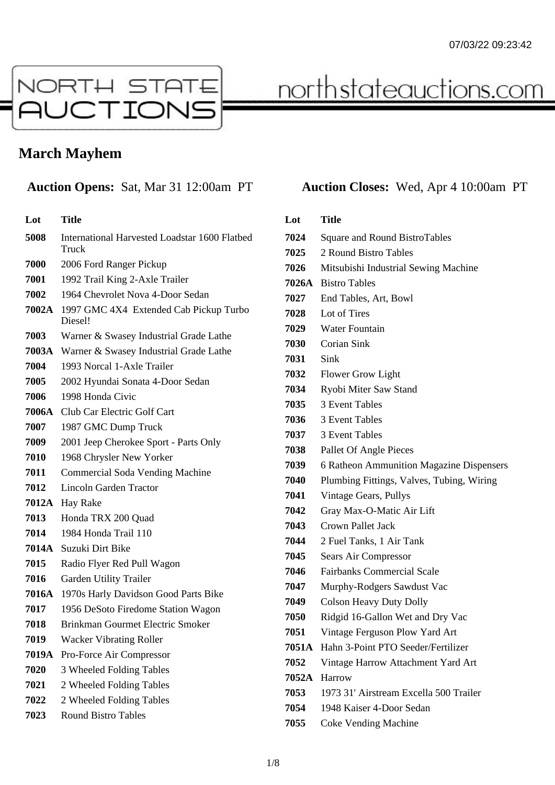

# <u>northstateauctions.com</u>

## **March Mayhem**

| Lot          | <b>Title</b>                                           |
|--------------|--------------------------------------------------------|
| 5008         | International Harvested Loadstar 1600 Flatbed<br>Truck |
| 7000         | 2006 Ford Ranger Pickup                                |
| 7001         | 1992 Trail King 2-Axle Trailer                         |
| 7002         | 1964 Chevrolet Nova 4-Door Sedan                       |
| 7002A        | 1997 GMC 4X4 Extended Cab Pickup Turbo<br>Diesel!      |
| 7003         | Warner & Swasey Industrial Grade Lathe                 |
| 7003A        | Warner & Swasey Industrial Grade Lathe                 |
| 7004         | 1993 Norcal 1-Axle Trailer                             |
| 7005         | 2002 Hyundai Sonata 4-Door Sedan                       |
| 7006         | 1998 Honda Civic                                       |
| 7006A        | Club Car Electric Golf Cart                            |
| 7007         | 1987 GMC Dump Truck                                    |
| 7009         | 2001 Jeep Cherokee Sport - Parts Only                  |
| 7010         | 1968 Chrysler New Yorker                               |
| 7011         | <b>Commercial Soda Vending Machine</b>                 |
| 7012         | <b>Lincoln Garden Tractor</b>                          |
| <b>7012A</b> | Hay Rake                                               |
| 7013         | Honda TRX 200 Quad                                     |
| 7014         | 1984 Honda Trail 110                                   |
| 7014A        | Suzuki Dirt Bike                                       |
| 7015         | Radio Flyer Red Pull Wagon                             |
| 7016         | Garden Utility Trailer                                 |
| 7016A        | 1970s Harly Davidson Good Parts Bike                   |
| 7017         | 1956 DeSoto Firedome Station Wagon                     |
| 7018         | <b>Brinkman Gourmet Electric Smoker</b>                |
| 7019         | <b>Wacker Vibrating Roller</b>                         |
| 7019A        | Pro-Force Air Compressor                               |
| 7020         | 3 Wheeled Folding Tables                               |
| 7021         | 2 Wheeled Folding Tables                               |
| 7022         | 2 Wheeled Folding Tables                               |
| 7023         | <b>Round Bistro Tables</b>                             |

### **Auction Opens:** Sat, Mar 31 12:00am PT **Auction Closes:** Wed, Apr 4 10:00am PT

### **Lot Title** Square and Round BistroTables 2 Round Bistro Tables Mitsubishi Industrial Sewing Machine **7026A** Bistro Tables End Tables, Art, Bowl Lot of Tires Water Fountain Corian Sink Sink Flower Grow Light Ryobi Miter Saw Stand 3 Event Tables 3 Event Tables 3 Event Tables Pallet Of Angle Pieces 6 Ratheon Ammunition Magazine Dispensers Plumbing Fittings, Valves, Tubing, Wiring Vintage Gears, Pullys Gray Max-O-Matic Air Lift Crown Pallet Jack 2 Fuel Tanks, 1 Air Tank Sears Air Compressor Fairbanks Commercial Scale Murphy-Rodgers Sawdust Vac Colson Heavy Duty Dolly Ridgid 16-Gallon Wet and Dry Vac Vintage Ferguson Plow Yard Art **7051A** Hahn 3-Point PTO Seeder/Fertilizer Vintage Harrow Attachment Yard Art **7052A** Harrow 1973 31' Airstream Excella 500 Trailer 1948 Kaiser 4-Door Sedan

Coke Vending Machine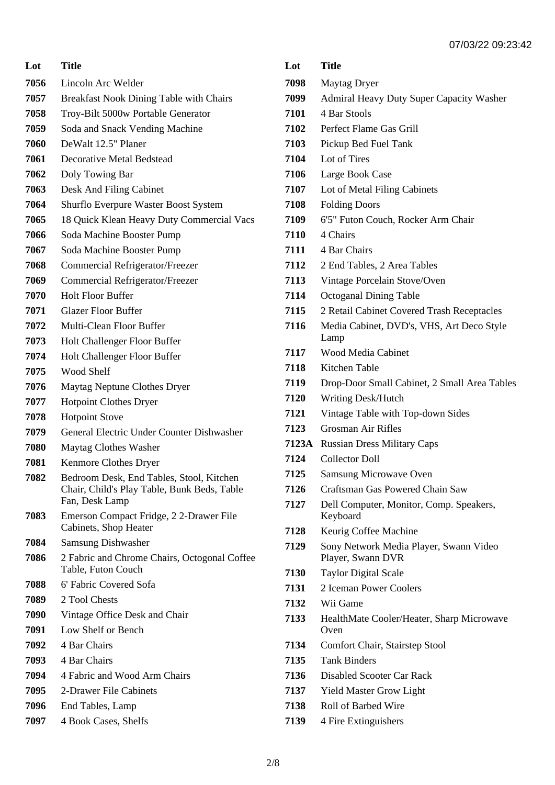| Lot  | <b>Title</b>                                                                                              |
|------|-----------------------------------------------------------------------------------------------------------|
| 7056 | Lincoln Arc Welder                                                                                        |
| 7057 | <b>Breakfast Nook Dining Table with Chairs</b>                                                            |
| 7058 | Troy-Bilt 5000w Portable Generator                                                                        |
| 7059 | Soda and Snack Vending Machine                                                                            |
| 7060 | DeWalt 12.5" Planer                                                                                       |
| 7061 | Decorative Metal Bedstead                                                                                 |
| 7062 | Doly Towing Bar                                                                                           |
| 7063 | Desk And Filing Cabinet                                                                                   |
| 7064 | Shurflo Everpure Waster Boost System                                                                      |
| 7065 | 18 Quick Klean Heavy Duty Commercial Vacs                                                                 |
| 7066 | Soda Machine Booster Pump                                                                                 |
| 7067 | Soda Machine Booster Pump                                                                                 |
| 7068 | Commercial Refrigerator/Freezer                                                                           |
| 7069 | Commercial Refrigerator/Freezer                                                                           |
| 7070 | <b>Holt Floor Buffer</b>                                                                                  |
| 7071 | <b>Glazer Floor Buffer</b>                                                                                |
| 7072 | Multi-Clean Floor Buffer                                                                                  |
| 7073 | Holt Challenger Floor Buffer                                                                              |
| 7074 | Holt Challenger Floor Buffer                                                                              |
| 7075 | Wood Shelf                                                                                                |
| 7076 | Maytag Neptune Clothes Dryer                                                                              |
| 7077 | <b>Hotpoint Clothes Dryer</b>                                                                             |
| 7078 | <b>Hotpoint Stove</b>                                                                                     |
| 7079 | General Electric Under Counter Dishwasher                                                                 |
| 7080 | Maytag Clothes Washer                                                                                     |
| 7081 | Kenmore Clothes Dryer                                                                                     |
| 7082 | Bedroom Desk, End Tables, Stool, Kitchen<br>Chair, Child's Play Table, Bunk Beds, Table<br>Fan, Desk Lamp |
| 7083 | Emerson Compact Fridge, 2 2-Drawer File<br>Cabinets, Shop Heater                                          |
| 7084 | Samsung Dishwasher                                                                                        |
| 7086 | 2 Fabric and Chrome Chairs, Octogonal Coffee<br>Table, Futon Couch                                        |
| 7088 | 6' Fabric Covered Sofa                                                                                    |
| 7089 | 2 Tool Chests                                                                                             |
| 7090 | Vintage Office Desk and Chair                                                                             |
| 7091 | Low Shelf or Bench                                                                                        |
| 7092 | 4 Bar Chairs                                                                                              |
| 7093 | 4 Bar Chairs                                                                                              |
| 7094 | 4 Fabric and Wood Arm Chairs                                                                              |
| 7095 | 2-Drawer File Cabinets                                                                                    |
| 7096 | End Tables, Lamp                                                                                          |
| 7097 | 4 Book Cases, Shelfs                                                                                      |

| 7098  | <b>Maytag Dryer</b>                                         |
|-------|-------------------------------------------------------------|
| 7099  | <b>Admiral Heavy Duty Super Capacity Washer</b>             |
| 7101  | 4 Bar Stools                                                |
| 7102  | Perfect Flame Gas Grill                                     |
| 7103  | Pickup Bed Fuel Tank                                        |
| 7104  | Lot of Tires                                                |
| 7106  | Large Book Case                                             |
| 7107  | Lot of Metal Filing Cabinets                                |
| 7108  | <b>Folding Doors</b>                                        |
| 7109  | 6'5" Futon Couch, Rocker Arm Chair                          |
| 7110  | 4 Chairs                                                    |
| 7111  | 4 Bar Chairs                                                |
| 7112  | 2 End Tables, 2 Area Tables                                 |
| 7113  | Vintage Porcelain Stove/Oven                                |
| 7114  | <b>Octoganal Dining Table</b>                               |
| 7115  | 2 Retail Cabinet Covered Trash Receptacles                  |
| 7116  | Media Cabinet, DVD's, VHS, Art Deco Style<br>Lamp           |
| 7117  | <b>Wood Media Cabinet</b>                                   |
| 7118  | Kitchen Table                                               |
| 7119  | Drop-Door Small Cabinet, 2 Small Area Tables                |
| 7120  | <b>Writing Desk/Hutch</b>                                   |
| 7121  | Vintage Table with Top-down Sides                           |
| 7123  | Grosman Air Rifles                                          |
| 7123A | <b>Russian Dress Military Caps</b>                          |
| 7124  | Collector Doll                                              |
| 7125  | <b>Samsung Microwave Oven</b>                               |
| 7126  | Craftsman Gas Powered Chain Saw                             |
| 7127  | Dell Computer, Monitor, Comp. Speakers,<br>Keyboard         |
| 7128  | Keurig Coffee Machine                                       |
| 7129  | Sony Network Media Player, Swann Video<br>Player, Swann DVR |
| 7130  | <b>Taylor Digital Scale</b>                                 |
| 7131  | 2 Iceman Power Coolers                                      |
| 7132  | Wii Game                                                    |
| 7133  | HealthMate Cooler/Heater, Sharp Microwave<br>Oven           |
| 7134  | Comfort Chair, Stairstep Stool                              |
| 7135  | <b>Tank Binders</b>                                         |
| 7136  | <b>Disabled Scooter Car Rack</b>                            |
| 7137  | <b>Yield Master Grow Light</b>                              |
| 7138  | Roll of Barbed Wire                                         |
| 7139  | 4 Fire Extinguishers                                        |

**Lot Title**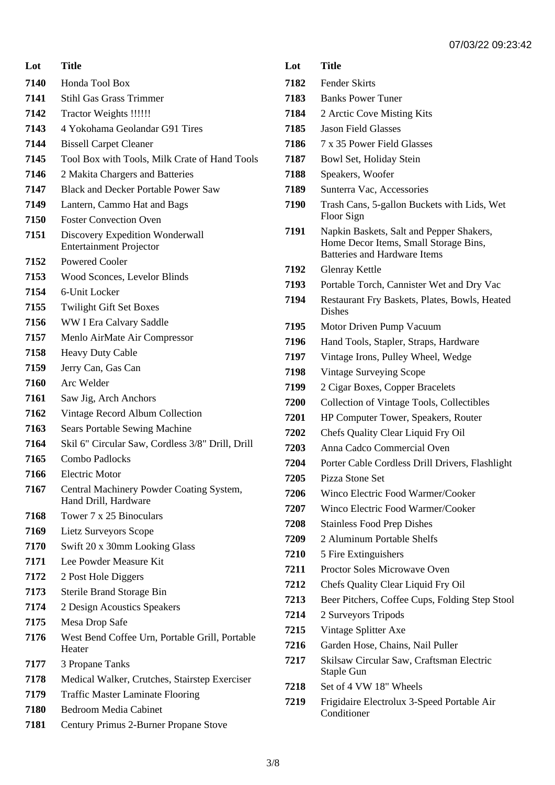| Lot  | <b>Title</b>                                                      |
|------|-------------------------------------------------------------------|
| 7140 | Honda Tool Box                                                    |
| 7141 | <b>Stihl Gas Grass Trimmer</b>                                    |
| 7142 | Tractor Weights !!!!!!                                            |
| 7143 | 4 Yokohama Geolandar G91 Tires                                    |
| 7144 | <b>Bissell Carpet Cleaner</b>                                     |
| 7145 | Tool Box with Tools, Milk Crate of Hand Tools                     |
| 7146 | 2 Makita Chargers and Batteries                                   |
| 7147 | <b>Black and Decker Portable Power Saw</b>                        |
| 7149 | Lantern, Cammo Hat and Bags                                       |
| 7150 | <b>Foster Convection Oven</b>                                     |
| 7151 | Discovery Expedition Wonderwall<br><b>Entertainment Projector</b> |
| 7152 | <b>Powered Cooler</b>                                             |
| 7153 | Wood Sconces, Levelor Blinds                                      |
| 7154 | 6-Unit Locker                                                     |
| 7155 | <b>Twilight Gift Set Boxes</b>                                    |
| 7156 | WW I Era Calvary Saddle                                           |
| 7157 | Menlo AirMate Air Compressor                                      |
| 7158 | <b>Heavy Duty Cable</b>                                           |
| 7159 | Jerry Can, Gas Can                                                |
| 7160 | Arc Welder                                                        |
| 7161 | Saw Jig, Arch Anchors                                             |
| 7162 | Vintage Record Album Collection                                   |
| 7163 | <b>Sears Portable Sewing Machine</b>                              |
| 7164 | Skil 6" Circular Saw, Cordless 3/8" Drill, Drill                  |
| 7165 | Combo Padlocks                                                    |
| 7166 | <b>Electric Motor</b>                                             |
| 7167 | Central Machinery Powder Coating System,<br>Hand Drill, Hardware  |
| 7168 | Tower 7 x 25 Binoculars                                           |
| 7169 | Lietz Surveyors Scope                                             |
| 7170 | Swift 20 x 30mm Looking Glass                                     |
| 7171 | Lee Powder Measure Kit                                            |
| 7172 | 2 Post Hole Diggers                                               |
| 7173 | <b>Sterile Brand Storage Bin</b>                                  |
| 7174 | 2 Design Acoustics Speakers                                       |
| 7175 | Mesa Drop Safe                                                    |
| 7176 | West Bend Coffee Urn, Portable Grill, Portable<br>Heater          |
| 7177 | 3 Propane Tanks                                                   |
| 7178 | Medical Walker, Crutches, Stairstep Exerciser                     |
| 7179 | <b>Traffic Master Laminate Flooring</b>                           |
| 7180 | <b>Bedroom Media Cabinet</b>                                      |
| 7181 | Century Primus 2-Burner Propane Stove                             |

| Lot  | <b>Title</b>                                                                                                             |
|------|--------------------------------------------------------------------------------------------------------------------------|
| 7182 | <b>Fender Skirts</b>                                                                                                     |
| 7183 | <b>Banks Power Tuner</b>                                                                                                 |
| 7184 | 2 Arctic Cove Misting Kits                                                                                               |
| 7185 | <b>Jason Field Glasses</b>                                                                                               |
| 7186 | 7 x 35 Power Field Glasses                                                                                               |
| 7187 | Bowl Set, Holiday Stein                                                                                                  |
| 7188 | Speakers, Woofer                                                                                                         |
| 7189 | Sunterra Vac, Accessories                                                                                                |
| 7190 | Trash Cans, 5-gallon Buckets with Lids, Wet<br>Floor Sign                                                                |
| 7191 | Napkin Baskets, Salt and Pepper Shakers,<br>Home Decor Items, Small Storage Bins,<br><b>Batteries and Hardware Items</b> |
| 7192 | <b>Glenray Kettle</b>                                                                                                    |
| 7193 | Portable Torch, Cannister Wet and Dry Vac                                                                                |
| 7194 | Restaurant Fry Baskets, Plates, Bowls, Heated<br><b>Dishes</b>                                                           |
| 7195 | Motor Driven Pump Vacuum                                                                                                 |
| 7196 | Hand Tools, Stapler, Straps, Hardware                                                                                    |
| 7197 | Vintage Irons, Pulley Wheel, Wedge                                                                                       |
| 7198 | <b>Vintage Surveying Scope</b>                                                                                           |
| 7199 | 2 Cigar Boxes, Copper Bracelets                                                                                          |
| 7200 | Collection of Vintage Tools, Collectibles                                                                                |
| 7201 | HP Computer Tower, Speakers, Router                                                                                      |
| 7202 | Chefs Quality Clear Liquid Fry Oil                                                                                       |
| 7203 | Anna Cadco Commercial Oven                                                                                               |
| 7204 | Porter Cable Cordless Drill Drivers, Flashlight                                                                          |
| 7205 | Pizza Stone Set                                                                                                          |
| 7206 | Winco Electric Food Warmer/Cooker                                                                                        |
| 7207 | Winco Electric Food Warmer/Cooker                                                                                        |
| 7208 | <b>Stainless Food Prep Dishes</b>                                                                                        |
| 7209 | 2 Aluminum Portable Shelfs                                                                                               |
| 7210 | 5 Fire Extinguishers                                                                                                     |
| 7211 | Proctor Soles Microwave Oven                                                                                             |
| 7212 | Chefs Quality Clear Liquid Fry Oil                                                                                       |
| 7213 | Beer Pitchers, Coffee Cups, Folding Step Stool                                                                           |
| 7214 | 2 Surveyors Tripods                                                                                                      |
| 7215 | Vintage Splitter Axe                                                                                                     |
| 7216 | Garden Hose, Chains, Nail Puller                                                                                         |
| 7217 | Skilsaw Circular Saw, Craftsman Electric<br>Staple Gun                                                                   |
| 7218 | Set of 4 VW 18" Wheels                                                                                                   |
| 7219 | Frigidaire Electrolux 3-Speed Portable Air<br>Conditioner                                                                |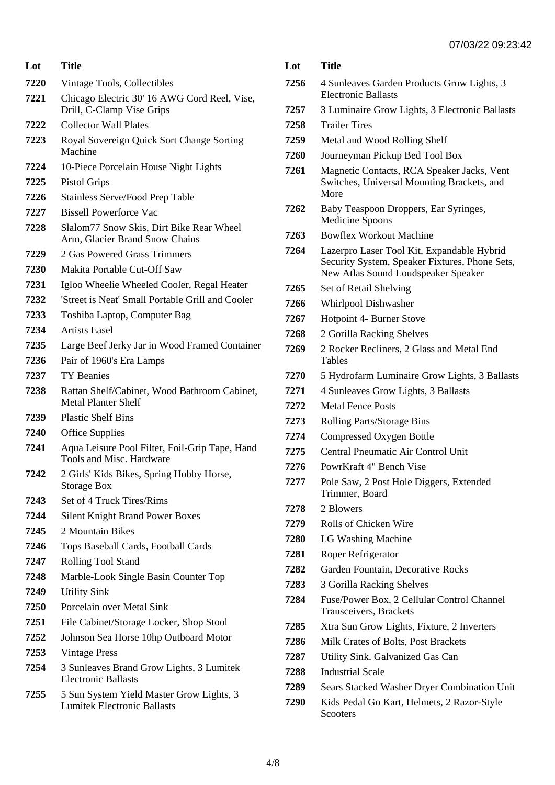| Lot  | Title                                                                          |
|------|--------------------------------------------------------------------------------|
| 7220 | Vintage Tools, Collectibles                                                    |
| 7221 | Chicago Electric 30' 16 AWG Cord Reel, Vise,<br>Drill, C-Clamp Vise Grips      |
| 7222 | <b>Collector Wall Plates</b>                                                   |
| 7223 | Royal Sovereign Quick Sort Change Sorting<br>Machine                           |
| 7224 | 10-Piece Porcelain House Night Lights                                          |
| 7225 | <b>Pistol Grips</b>                                                            |
| 7226 | <b>Stainless Serve/Food Prep Table</b>                                         |
| 7227 | <b>Bissell Powerforce Vac</b>                                                  |
| 7228 | Slalom77 Snow Skis, Dirt Bike Rear Wheel<br>Arm, Glacier Brand Snow Chains     |
| 7229 | 2 Gas Powered Grass Trimmers                                                   |
| 7230 | Makita Portable Cut-Off Saw                                                    |
| 7231 | Igloo Wheelie Wheeled Cooler, Regal Heater                                     |
| 7232 | 'Street is Neat' Small Portable Grill and Cooler                               |
| 7233 | Toshiba Laptop, Computer Bag                                                   |
| 7234 | <b>Artists Easel</b>                                                           |
| 7235 | Large Beef Jerky Jar in Wood Framed Container                                  |
| 7236 | Pair of 1960's Era Lamps                                                       |
| 7237 | <b>TY</b> Beanies                                                              |
| 7238 | Rattan Shelf/Cabinet, Wood Bathroom Cabinet,<br><b>Metal Planter Shelf</b>     |
| 7239 | <b>Plastic Shelf Bins</b>                                                      |
| 7240 | <b>Office Supplies</b>                                                         |
| 7241 | Aqua Leisure Pool Filter, Foil-Grip Tape, Hand<br>Tools and Misc. Hardware     |
| 7242 | 2 Girls' Kids Bikes, Spring Hobby Horse,<br><b>Storage Box</b>                 |
| 7243 | Set of 4 Truck Tires/Rims                                                      |
| 7244 | <b>Silent Knight Brand Power Boxes</b>                                         |
| 7245 | 2 Mountain Bikes                                                               |
| 7246 | Tops Baseball Cards, Football Cards                                            |
| 7247 | <b>Rolling Tool Stand</b>                                                      |
| 7248 | Marble-Look Single Basin Counter Top                                           |
| 7249 | <b>Utility Sink</b>                                                            |
| 7250 | Porcelain over Metal Sink                                                      |
| 7251 | File Cabinet/Storage Locker, Shop Stool                                        |
| 7252 | Johnson Sea Horse 10hp Outboard Motor                                          |
| 7253 | <b>Vintage Press</b>                                                           |
| 7254 | 3 Sunleaves Brand Grow Lights, 3 Lumitek<br><b>Electronic Ballasts</b>         |
| 7255 | 5 Sun System Yield Master Grow Lights, 3<br><b>Lumitek Electronic Ballasts</b> |

|      | 1700 LL 00.LU                                                                                                                       |
|------|-------------------------------------------------------------------------------------------------------------------------------------|
| Lot  | <b>Title</b>                                                                                                                        |
| 7256 | 4 Sunleaves Garden Products Grow Lights, 3<br><b>Electronic Ballasts</b>                                                            |
| 7257 | 3 Luminaire Grow Lights, 3 Electronic Ballasts                                                                                      |
| 7258 | <b>Trailer Tires</b>                                                                                                                |
| 7259 | Metal and Wood Rolling Shelf                                                                                                        |
| 7260 | Journeyman Pickup Bed Tool Box                                                                                                      |
| 7261 | Magnetic Contacts, RCA Speaker Jacks, Vent<br>Switches, Universal Mounting Brackets, and<br>More                                    |
| 7262 | Baby Teaspoon Droppers, Ear Syringes,<br>Medicine Spoons                                                                            |
| 7263 | <b>Bowflex Workout Machine</b>                                                                                                      |
| 7264 | Lazerpro Laser Tool Kit, Expandable Hybrid<br>Security System, Speaker Fixtures, Phone Sets,<br>New Atlas Sound Loudspeaker Speaker |
| 7265 | Set of Retail Shelving                                                                                                              |
| 7266 | Whirlpool Dishwasher                                                                                                                |
| 7267 | Hotpoint 4- Burner Stove                                                                                                            |
| 7268 | 2 Gorilla Racking Shelves                                                                                                           |
| 7269 | 2 Rocker Recliners, 2 Glass and Metal End<br>Tables                                                                                 |
| 7270 | 5 Hydrofarm Luminaire Grow Lights, 3 Ballasts                                                                                       |
| 7271 | 4 Sunleaves Grow Lights, 3 Ballasts                                                                                                 |
| 7272 | <b>Metal Fence Posts</b>                                                                                                            |
| 7273 | Rolling Parts/Storage Bins                                                                                                          |
| 7274 | Compressed Oxygen Bottle                                                                                                            |
| 7275 | Central Pneumatic Air Control Unit                                                                                                  |
| 7276 | PowrKraft 4" Bench Vise                                                                                                             |
| 7277 | Pole Saw, 2 Post Hole Diggers, Extended<br>Trimmer, Board                                                                           |
| 7278 | 2 Blowers                                                                                                                           |
| 7279 | Rolls of Chicken Wire                                                                                                               |
| 7280 | <b>LG Washing Machine</b>                                                                                                           |
| 7281 | Roper Refrigerator                                                                                                                  |
| 7282 | Garden Fountain, Decorative Rocks                                                                                                   |
| 7283 | 3 Gorilla Racking Shelves                                                                                                           |
| 7284 | Fuse/Power Box, 2 Cellular Control Channel<br>Transceivers, Brackets                                                                |
| 7285 | Xtra Sun Grow Lights, Fixture, 2 Inverters                                                                                          |
| 7286 | Milk Crates of Bolts, Post Brackets                                                                                                 |
| 7287 | Utility Sink, Galvanized Gas Can                                                                                                    |
| 7288 | <b>Industrial Scale</b>                                                                                                             |
| 7289 | Sears Stacked Washer Dryer Combination Unit                                                                                         |
| 7290 | Kids Pedal Go Kart, Helmets, 2 Razor-Style<br>Scooters                                                                              |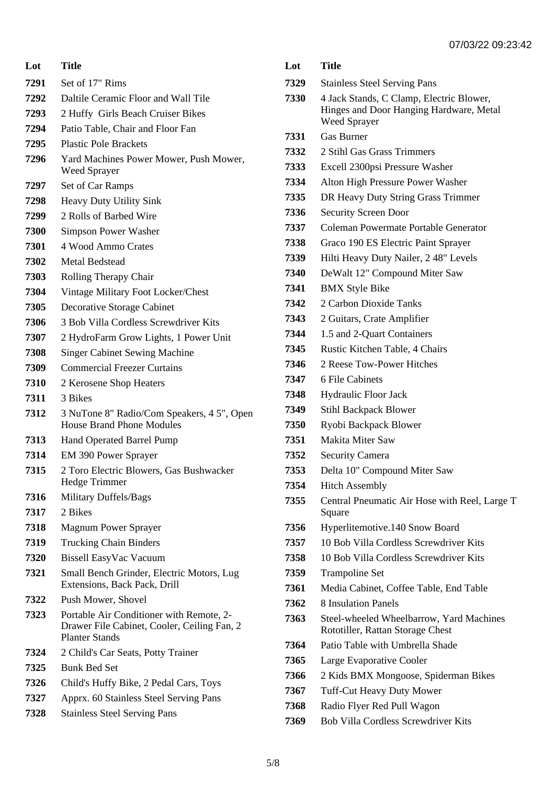**Lot Title** Set of 17" Rims Daltile Ceramic Floor and Wall Tile 2 Huffy Girls Beach Cruiser Bikes Patio Table, Chair and Floor Fan Plastic Pole Brackets Yard Machines Power Mower, Push Mower, Weed Sprayer Set of Car Ramps Heavy Duty Utility Sink 2 Rolls of Barbed Wire Simpson Power Washer 4 Wood Ammo Crates Metal Bedstead Rolling Therapy Chair Vintage Military Foot Locker/Chest Decorative Storage Cabinet 3 Bob Villa Cordless Screwdriver Kits 2 HydroFarm Grow Lights, 1 Power Unit Singer Cabinet Sewing Machine Commercial Freezer Curtains 2 Kerosene Shop Heaters 3 Bikes 3 NuTone 8" Radio/Com Speakers, 4 5", Open House Brand Phone Modules Hand Operated Barrel Pump EM 390 Power Sprayer 2 Toro Electric Blowers, Gas Bushwacker Hedge Trimmer Military Duffels/Bags 2 Bikes Magnum Power Sprayer Trucking Chain Binders Bissell EasyVac Vacuum Small Bench Grinder, Electric Motors, Lug Extensions, Back Pack, Drill Push Mower, Shovel Portable Air Conditioner with Remote, 2- Drawer File Cabinet, Cooler, Ceiling Fan, 2 Planter Stands 2 Child's Car Seats, Potty Trainer Bunk Bed Set Child's Huffy Bike, 2 Pedal Cars, Toys Apprx. 60 Stainless Steel Serving Pans Stainless Steel Serving Pans

| Lot  | <b>Title</b>                                                                        |
|------|-------------------------------------------------------------------------------------|
| 7329 | <b>Stainless Steel Serving Pans</b>                                                 |
| 7330 | 4 Jack Stands, C Clamp, Electric Blower,<br>Hinges and Door Hanging Hardware, Metal |
|      | <b>Weed Sprayer</b>                                                                 |
| 7331 | <b>Gas Burner</b>                                                                   |
| 7332 | 2 Stihl Gas Grass Trimmers                                                          |
| 7333 | Excell 2300psi Pressure Washer                                                      |
| 7334 | Alton High Pressure Power Washer                                                    |
| 7335 | DR Heavy Duty String Grass Trimmer                                                  |
| 7336 | <b>Security Screen Door</b>                                                         |
| 7337 | Coleman Powermate Portable Generator                                                |
| 7338 | Graco 190 ES Electric Paint Sprayer                                                 |
| 7339 | Hilti Heavy Duty Nailer, 248" Levels                                                |
| 7340 | DeWalt 12" Compound Miter Saw                                                       |
| 7341 | <b>BMX Style Bike</b>                                                               |
| 7342 | 2 Carbon Dioxide Tanks                                                              |
| 7343 | 2 Guitars, Crate Amplifier                                                          |
| 7344 | 1.5 and 2-Quart Containers                                                          |
| 7345 | Rustic Kitchen Table, 4 Chairs                                                      |
| 7346 | 2 Reese Tow-Power Hitches                                                           |
| 7347 | 6 File Cabinets                                                                     |
| 7348 | <b>Hydraulic Floor Jack</b>                                                         |
| 7349 | <b>Stihl Backpack Blower</b>                                                        |
| 7350 | Ryobi Backpack Blower                                                               |
| 7351 | <b>Makita Miter Saw</b>                                                             |
| 7352 | <b>Security Camera</b>                                                              |
| 7353 | Delta 10" Compound Miter Saw                                                        |
| 7354 | <b>Hitch Assembly</b>                                                               |
| 7355 | Central Pneumatic Air Hose with Reel, Large T<br>Square                             |
| 7356 | Hyperlitemotive.140 Snow Board                                                      |
| 7357 | 10 Bob Villa Cordless Screwdriver Kits                                              |
| 7358 | 10 Bob Villa Cordless Screwdriver Kits                                              |
| 7359 | <b>Trampoline Set</b>                                                               |
| 7361 | Media Cabinet, Coffee Table, End Table                                              |
| 7362 | 8 Insulation Panels                                                                 |
| 7363 | Steel-wheeled Wheelbarrow, Yard Machines<br>Rototiller, Rattan Storage Chest        |
| 7364 | Patio Table with Umbrella Shade                                                     |
| 7365 | Large Evaporative Cooler                                                            |
| 7366 | 2 Kids BMX Mongoose, Spiderman Bikes                                                |
| 7367 | <b>Tuff-Cut Heavy Duty Mower</b>                                                    |
| 7368 | Radio Flyer Red Pull Wagon                                                          |
| 7369 | <b>Bob Villa Cordless Screwdriver Kits</b>                                          |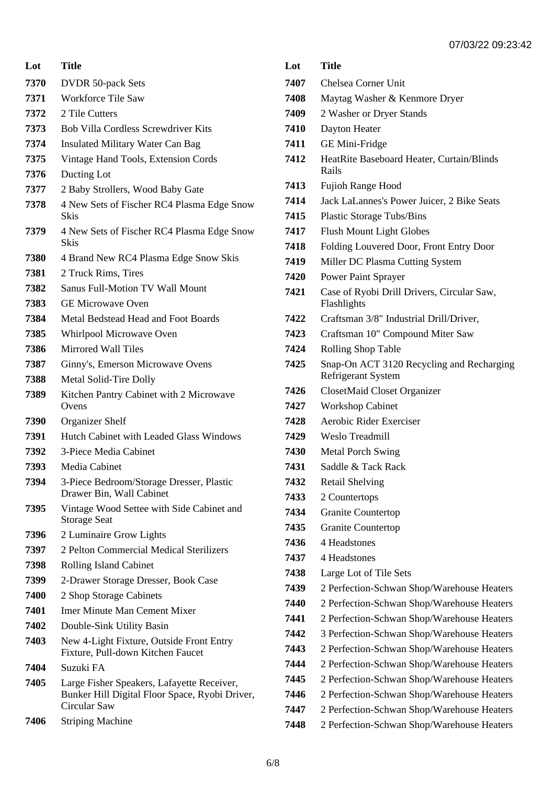| Lot  | <b>Title</b>                                                                                                 |
|------|--------------------------------------------------------------------------------------------------------------|
| 7370 | <b>DVDR 50-pack Sets</b>                                                                                     |
| 7371 | <b>Workforce Tile Saw</b>                                                                                    |
| 7372 | 2 Tile Cutters                                                                                               |
| 7373 | <b>Bob Villa Cordless Screwdriver Kits</b>                                                                   |
| 7374 | <b>Insulated Military Water Can Bag</b>                                                                      |
| 7375 | Vintage Hand Tools, Extension Cords                                                                          |
| 7376 | Ducting Lot                                                                                                  |
| 7377 | 2 Baby Strollers, Wood Baby Gate                                                                             |
| 7378 | 4 New Sets of Fischer RC4 Plasma Edge Snow<br><b>Skis</b>                                                    |
| 7379 | 4 New Sets of Fischer RC4 Plasma Edge Snow<br>Skis                                                           |
| 7380 | 4 Brand New RC4 Plasma Edge Snow Skis                                                                        |
| 7381 | 2 Truck Rims, Tires                                                                                          |
| 7382 | <b>Sanus Full-Motion TV Wall Mount</b>                                                                       |
| 7383 | <b>GE Microwave Oven</b>                                                                                     |
| 7384 | Metal Bedstead Head and Foot Boards                                                                          |
| 7385 | Whirlpool Microwave Oven                                                                                     |
| 7386 | Mirrored Wall Tiles                                                                                          |
| 7387 | Ginny's, Emerson Microwave Ovens                                                                             |
| 7388 | Metal Solid-Tire Dolly                                                                                       |
| 7389 | Kitchen Pantry Cabinet with 2 Microwave<br>Ovens                                                             |
| 7390 | <b>Organizer Shelf</b>                                                                                       |
| 7391 | Hutch Cabinet with Leaded Glass Windows                                                                      |
| 7392 | 3-Piece Media Cabinet                                                                                        |
| 7393 | Media Cabinet                                                                                                |
| 7394 | 3-Piece Bedroom/Storage Dresser, Plastic<br>Drawer Bin, Wall Cabinet                                         |
| 7395 | Vintage Wood Settee with Side Cabinet and<br><b>Storage Seat</b>                                             |
| 7396 | 2 Luminaire Grow Lights                                                                                      |
| 7397 | 2 Pelton Commercial Medical Sterilizers                                                                      |
| 7398 | <b>Rolling Island Cabinet</b>                                                                                |
| 7399 | 2-Drawer Storage Dresser, Book Case                                                                          |
| 7400 | 2 Shop Storage Cabinets                                                                                      |
| 7401 | Imer Minute Man Cement Mixer                                                                                 |
| 7402 | Double-Sink Utility Basin                                                                                    |
| 7403 | New 4-Light Fixture, Outside Front Entry<br>Fixture, Pull-down Kitchen Faucet                                |
| 7404 | Suzuki FA                                                                                                    |
| 7405 | Large Fisher Speakers, Lafayette Receiver,<br>Bunker Hill Digital Floor Space, Ryobi Driver,<br>Circular Saw |
| 7406 | <b>Striping Machine</b>                                                                                      |

| 7407 | <b>Chelsea Corner Unit</b>                                      |
|------|-----------------------------------------------------------------|
| 7408 | Maytag Washer & Kenmore Dryer                                   |
| 7409 | 2 Washer or Dryer Stands                                        |
| 7410 | Dayton Heater                                                   |
| 7411 | GE Mini-Fridge                                                  |
| 7412 | HeatRite Baseboard Heater, Curtain/Blinds<br>Rails              |
| 7413 | Fujioh Range Hood                                               |
| 7414 | Jack LaLannes's Power Juicer, 2 Bike Seats                      |
| 7415 | <b>Plastic Storage Tubs/Bins</b>                                |
| 7417 | <b>Flush Mount Light Globes</b>                                 |
| 7418 | Folding Louvered Door, Front Entry Door                         |
| 7419 | Miller DC Plasma Cutting System                                 |
| 7420 | Power Paint Sprayer                                             |
| 7421 | Case of Ryobi Drill Drivers, Circular Saw,<br>Flashlights       |
| 7422 | Craftsman 3/8" Industrial Drill/Driver,                         |
| 7423 | Craftsman 10" Compound Miter Saw                                |
| 7424 | Rolling Shop Table                                              |
| 7425 | Snap-On ACT 3120 Recycling and Recharging<br>Refrigerant System |
| 7426 | ClosetMaid Closet Organizer                                     |
| 7427 | <b>Workshop Cabinet</b>                                         |
| 7428 | Aerobic Rider Exerciser                                         |
| 7429 | Weslo Treadmill                                                 |
| 7430 | <b>Metal Porch Swing</b>                                        |
| 7431 | Saddle & Tack Rack                                              |
| 7432 | <b>Retail Shelving</b>                                          |
| 7433 | 2 Countertops                                                   |
| 7434 |                                                                 |
|      | <b>Granite Countertop</b>                                       |
| 7435 | <b>Granite Countertop</b>                                       |
| 7436 | 4 Headstones                                                    |
| 7437 | 4 Headstones                                                    |
| 7438 | Large Lot of Tile Sets                                          |
| 7439 | 2 Perfection-Schwan Shop/Warehouse Heaters                      |
| 7440 | 2 Perfection-Schwan Shop/Warehouse Heaters                      |
| 7441 | 2 Perfection-Schwan Shop/Warehouse Heaters                      |
| 7442 | 3 Perfection-Schwan Shop/Warehouse Heaters                      |
| 7443 | 2 Perfection-Schwan Shop/Warehouse Heaters                      |
| 7444 | 2 Perfection-Schwan Shop/Warehouse Heaters                      |
| 7445 | 2 Perfection-Schwan Shop/Warehouse Heaters                      |
| 7446 | 2 Perfection-Schwan Shop/Warehouse Heaters                      |
| 7447 | 2 Perfection-Schwan Shop/Warehouse Heaters                      |

**Lot Title**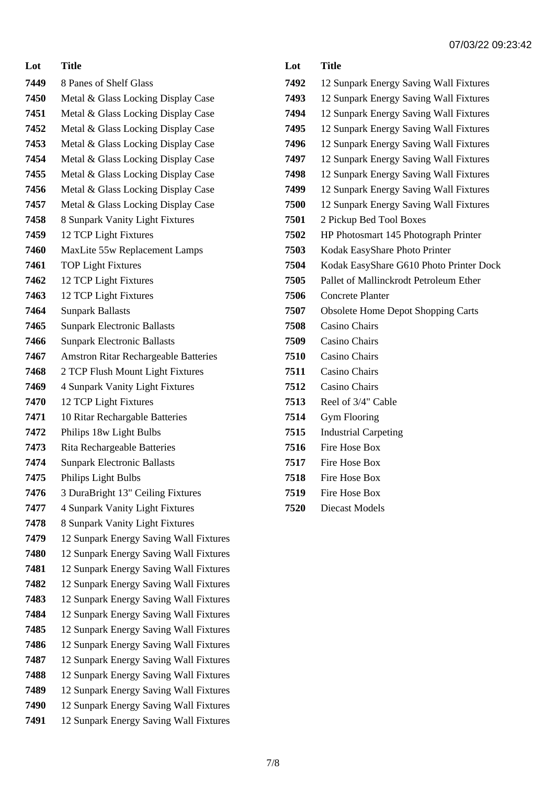| Lot  | Title                                       |
|------|---------------------------------------------|
| 7449 | 8 Panes of Shelf Glass                      |
| 7450 | Metal & Glass Locking Display Case          |
| 7451 | Metal & Glass Locking Display Case          |
| 7452 | Metal & Glass Locking Display Case          |
| 7453 | Metal & Glass Locking Display Case          |
| 7454 | Metal & Glass Locking Display Case          |
| 7455 | Metal & Glass Locking Display Case          |
| 7456 | Metal & Glass Locking Display Case          |
| 7457 | Metal & Glass Locking Display Case          |
| 7458 | 8 Sunpark Vanity Light Fixtures             |
| 7459 | 12 TCP Light Fixtures                       |
| 7460 | MaxLite 55w Replacement Lamps               |
| 7461 | <b>TOP Light Fixtures</b>                   |
| 7462 | 12 TCP Light Fixtures                       |
| 7463 | 12 TCP Light Fixtures                       |
| 7464 | <b>Sunpark Ballasts</b>                     |
| 7465 | <b>Sunpark Electronic Ballasts</b>          |
| 7466 | <b>Sunpark Electronic Ballasts</b>          |
| 7467 | <b>Amstron Ritar Rechargeable Batteries</b> |
| 7468 | 2 TCP Flush Mount Light Fixtures            |
| 7469 | 4 Sunpark Vanity Light Fixtures             |
| 7470 | 12 TCP Light Fixtures                       |
| 7471 | 10 Ritar Rechargable Batteries              |
| 7472 | Philips 18w Light Bulbs                     |
| 7473 | Rita Rechargeable Batteries                 |
| 7474 | <b>Sunpark Electronic Ballasts</b>          |
| 7475 | Philips Light Bulbs                         |
| 7476 | 3 DuraBright 13" Ceiling Fixtures           |
| 7477 | 4 Sunpark Vanity Light Fixtures             |
| 7478 | 8 Sunpark Vanity Light Fixtures             |
| 7479 | 12 Sunpark Energy Saving Wall Fixtures      |
| 7480 | 12 Sunpark Energy Saving Wall Fixtures      |
| 7481 | 12 Sunpark Energy Saving Wall Fixtures      |
| 7482 | 12 Sunpark Energy Saving Wall Fixtures      |
| 7483 | 12 Sunpark Energy Saving Wall Fixtures      |
| 7484 | 12 Sunpark Energy Saving Wall Fixtures      |
| 7485 | 12 Sunpark Energy Saving Wall Fixtures      |
| 7486 | 12 Sunpark Energy Saving Wall Fixtures      |
| 7487 | 12 Sunpark Energy Saving Wall Fixtures      |
| 7488 | 12 Sunpark Energy Saving Wall Fixtures      |
| 7489 | 12 Sunpark Energy Saving Wall Fixtures      |
| 7490 | 12 Sunpark Energy Saving Wall Fixtures      |
| 7491 | 12 Sunpark Energy Saving Wall Fixtures      |

| Lot  | <b>Title</b>                              |
|------|-------------------------------------------|
| 7492 | 12 Sunpark Energy Saving Wall Fixtures    |
| 7493 | 12 Sunpark Energy Saving Wall Fixtures    |
| 7494 | 12 Sunpark Energy Saving Wall Fixtures    |
| 7495 | 12 Sunpark Energy Saving Wall Fixtures    |
| 7496 | 12 Sunpark Energy Saving Wall Fixtures    |
| 7497 | 12 Sunpark Energy Saving Wall Fixtures    |
| 7498 | 12 Sunpark Energy Saving Wall Fixtures    |
| 7499 | 12 Sunpark Energy Saving Wall Fixtures    |
| 7500 | 12 Sunpark Energy Saving Wall Fixtures    |
| 7501 | 2 Pickup Bed Tool Boxes                   |
| 7502 | HP Photosmart 145 Photograph Printer      |
| 7503 | Kodak EasyShare Photo Printer             |
| 7504 | Kodak EasyShare G610 Photo Printer Dock   |
| 7505 | Pallet of Mallinckrodt Petroleum Ether    |
| 7506 | Concrete Planter                          |
| 7507 | <b>Obsolete Home Depot Shopping Carts</b> |
| 7508 | <b>Casino Chairs</b>                      |
| 7509 | <b>Casino Chairs</b>                      |
| 7510 | Casino Chairs                             |
| 7511 | <b>Casino Chairs</b>                      |
| 7512 | <b>Casino Chairs</b>                      |
| 7513 | Reel of 3/4" Cable                        |
| 7514 | <b>Gym Flooring</b>                       |
| 7515 | <b>Industrial Carpeting</b>               |
| 7516 | <b>Fire Hose Box</b>                      |
| 7517 | <b>Fire Hose Box</b>                      |
| 7518 | Fire Hose Box                             |
| 7519 | <b>Fire Hose Box</b>                      |
| 7520 | <b>Diecast Models</b>                     |